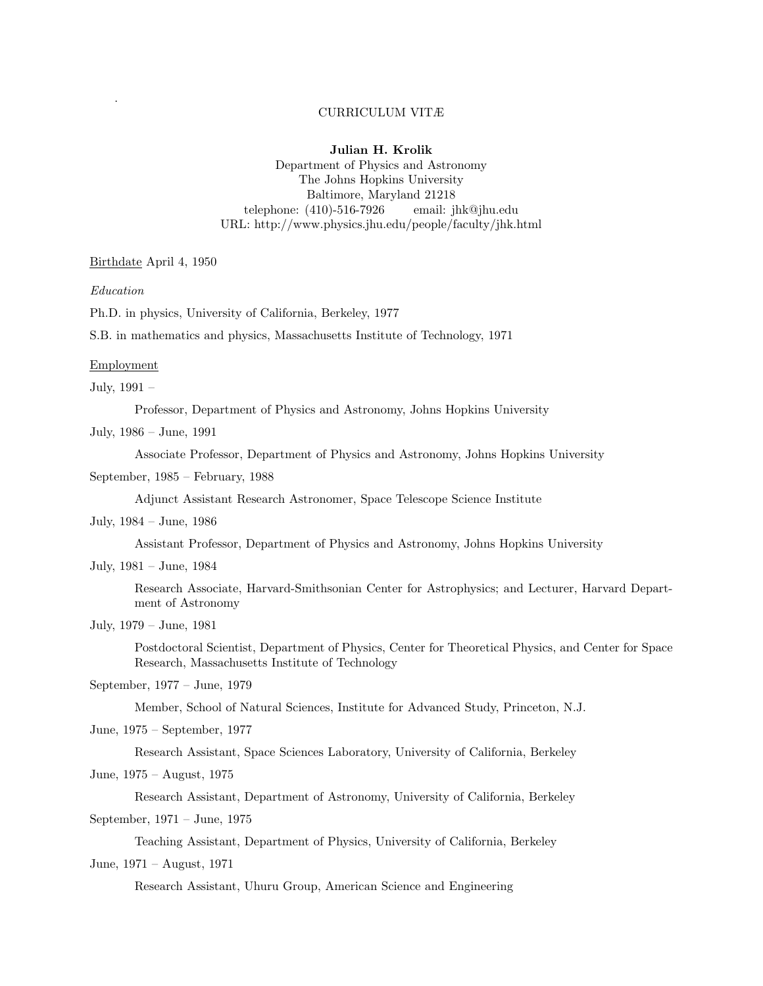# CURRICULUM VITÆ

### Julian H. Krolik

Department of Physics and Astronomy The Johns Hopkins University Baltimore, Maryland 21218 telephone:  $(410)$ -516-7926 email: jhk@jhu.edu URL: http://www.physics.jhu.edu/people/faculty/jhk.html

Birthdate April 4, 1950

*Education*

.

Ph.D. in physics, University of California, Berkeley, 1977

S.B. in mathematics and physics, Massachusetts Institute of Technology, 1971

#### Employment

July, 1991 –

Professor, Department of Physics and Astronomy, Johns Hopkins University

July, 1986 – June, 1991

Associate Professor, Department of Physics and Astronomy, Johns Hopkins University

# September, 1985 – February, 1988

Adjunct Assistant Research Astronomer, Space Telescope Science Institute

### July, 1984 – June, 1986

Assistant Professor, Department of Physics and Astronomy, Johns Hopkins University

### July, 1981 – June, 1984

Research Associate, Harvard-Smithsonian Center for Astrophysics; and Lecturer, Harvard Department of Astronomy

#### July, 1979 – June, 1981

Postdoctoral Scientist, Department of Physics, Center for Theoretical Physics, and Center for Space Research, Massachusetts Institute of Technology

# September, 1977 – June, 1979

Member, School of Natural Sciences, Institute for Advanced Study, Princeton, N.J.

June, 1975 – September, 1977

Research Assistant, Space Sciences Laboratory, University of California, Berkeley

#### June, 1975 – August, 1975

Research Assistant, Department of Astronomy, University of California, Berkeley

#### September, 1971 – June, 1975

Teaching Assistant, Department of Physics, University of California, Berkeley

# June, 1971 – August, 1971

Research Assistant, Uhuru Group, American Science and Engineering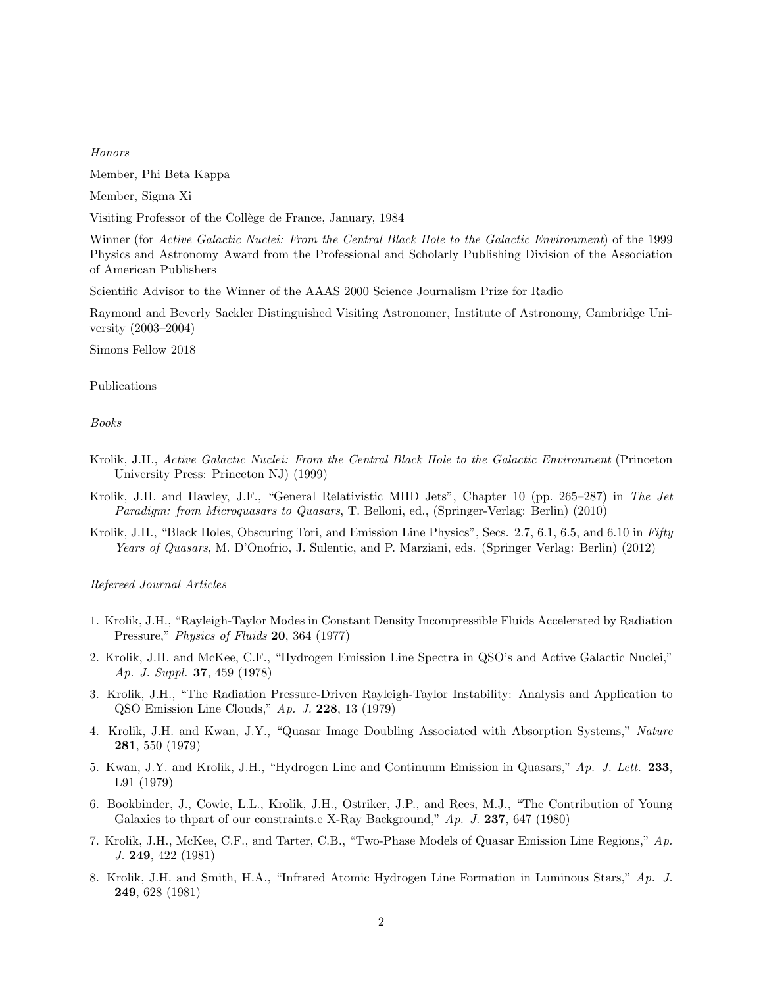*Honors*

Member, Phi Beta Kappa

Member, Sigma Xi

Visiting Professor of the Collège de France, January, 1984

Winner (for *Active Galactic Nuclei: From the Central Black Hole to the Galactic Environment*) of the 1999 Physics and Astronomy Award from the Professional and Scholarly Publishing Division of the Association of American Publishers

Scientific Advisor to the Winner of the AAAS 2000 Science Journalism Prize for Radio

Raymond and Beverly Sackler Distinguished Visiting Astronomer, Institute of Astronomy, Cambridge University (2003–2004)

Simons Fellow 2018

#### Publications

*Books*

- Krolik, J.H., *Active Galactic Nuclei: From the Central Black Hole to the Galactic Environment* (Princeton University Press: Princeton NJ) (1999)
- Krolik, J.H. and Hawley, J.F., "General Relativistic MHD Jets", Chapter 10 (pp. 265–287) in *The Jet Paradigm: from Microquasars to Quasars*, T. Belloni, ed., (Springer-Verlag: Berlin) (2010)
- Krolik, J.H., "Black Holes, Obscuring Tori, and Emission Line Physics", Secs. 2.7, 6.1, 6.5, and 6.10 in *Fifty Years of Quasars*, M. D'Onofrio, J. Sulentic, and P. Marziani, eds. (Springer Verlag: Berlin) (2012)

*Refereed Journal Articles*

- 1. Krolik, J.H., "Rayleigh-Taylor Modes in Constant Density Incompressible Fluids Accelerated by Radiation Pressure," *Physics of Fluids* 20, 364 (1977)
- 2. Krolik, J.H. and McKee, C.F., "Hydrogen Emission Line Spectra in QSO's and Active Galactic Nuclei," *Ap. J. Suppl.* 37, 459 (1978)
- 3. Krolik, J.H., "The Radiation Pressure-Driven Rayleigh-Taylor Instability: Analysis and Application to QSO Emission Line Clouds," *Ap. J.* 228, 13 (1979)
- 4. Krolik, J.H. and Kwan, J.Y., "Quasar Image Doubling Associated with Absorption Systems," *Nature* 281, 550 (1979)
- 5. Kwan, J.Y. and Krolik, J.H., "Hydrogen Line and Continuum Emission in Quasars," *Ap. J. Lett.* 233, L91 (1979)
- 6. Bookbinder, J., Cowie, L.L., Krolik, J.H., Ostriker, J.P., and Rees, M.J., "The Contribution of Young Galaxies to thpart of our constraints.e X-Ray Background," *Ap. J.* 237, 647 (1980)
- 7. Krolik, J.H., McKee, C.F., and Tarter, C.B., "Two-Phase Models of Quasar Emission Line Regions," *Ap. J.* 249, 422 (1981)
- 8. Krolik, J.H. and Smith, H.A., "Infrared Atomic Hydrogen Line Formation in Luminous Stars," *Ap. J.* 249, 628 (1981)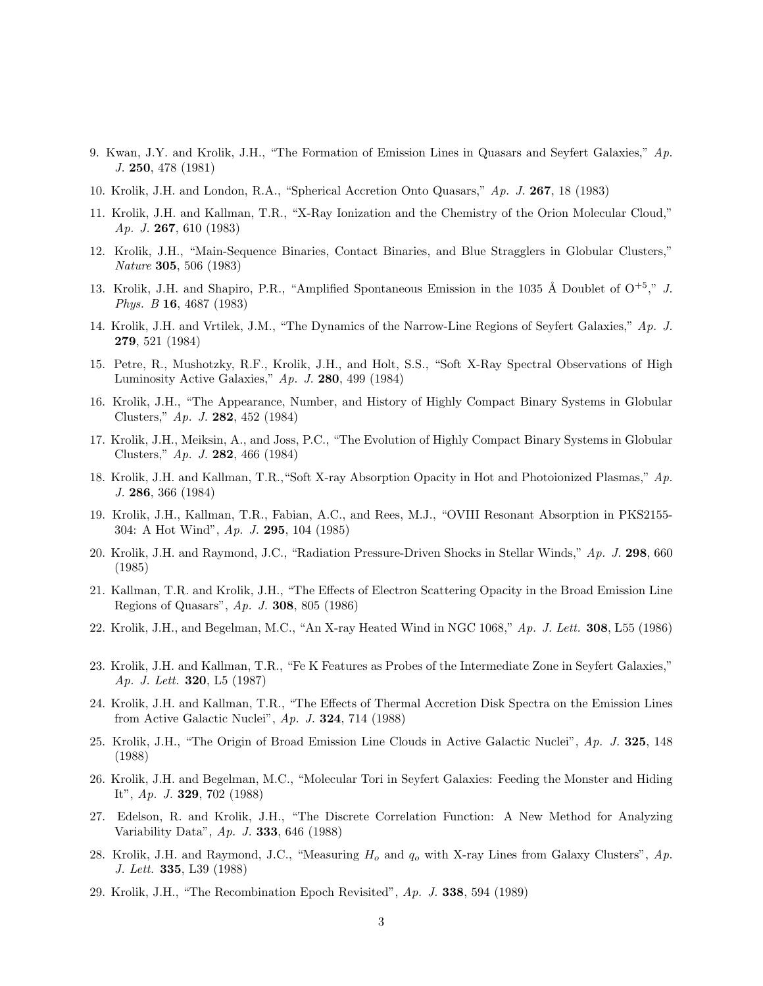- 9. Kwan, J.Y. and Krolik, J.H., "The Formation of Emission Lines in Quasars and Seyfert Galaxies," *Ap. J.* 250, 478 (1981)
- 10. Krolik, J.H. and London, R.A., "Spherical Accretion Onto Quasars," *Ap. J.* 267, 18 (1983)
- 11. Krolik, J.H. and Kallman, T.R., "X-Ray Ionization and the Chemistry of the Orion Molecular Cloud," *Ap. J.* 267, 610 (1983)
- 12. Krolik, J.H., "Main-Sequence Binaries, Contact Binaries, and Blue Stragglers in Globular Clusters," *Nature* 305, 506 (1983)
- 13. Krolik, J.H. and Shapiro, P.R., "Amplified Spontaneous Emission in the 1035 Å Doublet of  $O^{+5}$ ," *J. Phys. B* 16, 4687 (1983)
- 14. Krolik, J.H. and Vrtilek, J.M., "The Dynamics of the Narrow-Line Regions of Seyfert Galaxies," *Ap. J.* 279, 521 (1984)
- 15. Petre, R., Mushotzky, R.F., Krolik, J.H., and Holt, S.S., "Soft X-Ray Spectral Observations of High Luminosity Active Galaxies," *Ap. J.* 280, 499 (1984)
- 16. Krolik, J.H., "The Appearance, Number, and History of Highly Compact Binary Systems in Globular Clusters," *Ap. J.* 282, 452 (1984)
- 17. Krolik, J.H., Meiksin, A., and Joss, P.C., "The Evolution of Highly Compact Binary Systems in Globular Clusters," *Ap. J.* 282, 466 (1984)
- 18. Krolik, J.H. and Kallman, T.R.,"Soft X-ray Absorption Opacity in Hot and Photoionized Plasmas," *Ap. J.* 286, 366 (1984)
- 19. Krolik, J.H., Kallman, T.R., Fabian, A.C., and Rees, M.J., "OVIII Resonant Absorption in PKS2155- 304: A Hot Wind", *Ap. J.* 295, 104 (1985)
- 20. Krolik, J.H. and Raymond, J.C., "Radiation Pressure-Driven Shocks in Stellar Winds," *Ap. J.* 298, 660 (1985)
- 21. Kallman, T.R. and Krolik, J.H., "The Effects of Electron Scattering Opacity in the Broad Emission Line Regions of Quasars", *Ap. J.* 308, 805 (1986)
- 22. Krolik, J.H., and Begelman, M.C., "An X-ray Heated Wind in NGC 1068," *Ap. J. Lett.* 308, L55 (1986)
- 23. Krolik, J.H. and Kallman, T.R., "Fe K Features as Probes of the Intermediate Zone in Seyfert Galaxies," *Ap. J. Lett.* 320, L5 (1987)
- 24. Krolik, J.H. and Kallman, T.R., "The Effects of Thermal Accretion Disk Spectra on the Emission Lines from Active Galactic Nuclei", *Ap. J.* 324, 714 (1988)
- 25. Krolik, J.H., "The Origin of Broad Emission Line Clouds in Active Galactic Nuclei", *Ap. J.* 325, 148 (1988)
- 26. Krolik, J.H. and Begelman, M.C., "Molecular Tori in Seyfert Galaxies: Feeding the Monster and Hiding It", *Ap. J.* 329, 702 (1988)
- 27. Edelson, R. and Krolik, J.H., "The Discrete Correlation Function: A New Method for Analyzing Variability Data", *Ap. J.* 333, 646 (1988)
- 28. Krolik, J.H. and Raymond, J.C., "Measuring H<sup>o</sup> and q<sup>o</sup> with X-ray Lines from Galaxy Clusters", *Ap. J. Lett.* 335, L39 (1988)
- 29. Krolik, J.H., "The Recombination Epoch Revisited", *Ap. J.* 338, 594 (1989)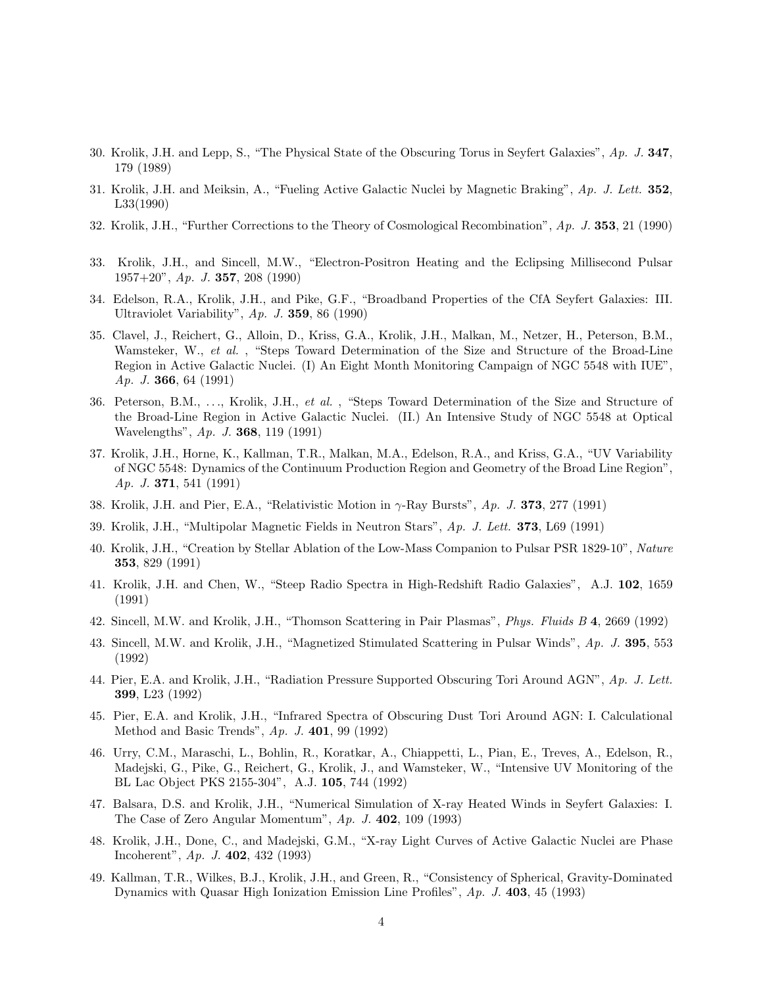- 30. Krolik, J.H. and Lepp, S., "The Physical State of the Obscuring Torus in Seyfert Galaxies", *Ap. J.* 347, 179 (1989)
- 31. Krolik, J.H. and Meiksin, A., "Fueling Active Galactic Nuclei by Magnetic Braking", *Ap. J. Lett.* 352, L33(1990)
- 32. Krolik, J.H., "Further Corrections to the Theory of Cosmological Recombination", *Ap. J.* 353, 21 (1990)
- 33. Krolik, J.H., and Sincell, M.W., "Electron-Positron Heating and the Eclipsing Millisecond Pulsar 1957+20", *Ap. J.* 357, 208 (1990)
- 34. Edelson, R.A., Krolik, J.H., and Pike, G.F., "Broadband Properties of the CfA Seyfert Galaxies: III. Ultraviolet Variability", *Ap. J.* 359, 86 (1990)
- 35. Clavel, J., Reichert, G., Alloin, D., Kriss, G.A., Krolik, J.H., Malkan, M., Netzer, H., Peterson, B.M., Wamsteker, W., *et al.*, "Steps Toward Determination of the Size and Structure of the Broad-Line Region in Active Galactic Nuclei. (I) An Eight Month Monitoring Campaign of NGC 5548 with IUE", *Ap. J.* 366, 64 (1991)
- 36. Peterson, B.M., . . ., Krolik, J.H., *et al.* , "Steps Toward Determination of the Size and Structure of the Broad-Line Region in Active Galactic Nuclei. (II.) An Intensive Study of NGC 5548 at Optical Wavelengths", *Ap. J.* 368, 119 (1991)
- 37. Krolik, J.H., Horne, K., Kallman, T.R., Malkan, M.A., Edelson, R.A., and Kriss, G.A., "UV Variability of NGC 5548: Dynamics of the Continuum Production Region and Geometry of the Broad Line Region", *Ap. J.* 371, 541 (1991)
- 38. Krolik, J.H. and Pier, E.A., "Relativistic Motion in γ-Ray Bursts", *Ap. J.* 373, 277 (1991)
- 39. Krolik, J.H., "Multipolar Magnetic Fields in Neutron Stars", *Ap. J. Lett.* 373, L69 (1991)
- 40. Krolik, J.H., "Creation by Stellar Ablation of the Low-Mass Companion to Pulsar PSR 1829-10", *Nature* 353, 829 (1991)
- 41. Krolik, J.H. and Chen, W., "Steep Radio Spectra in High-Redshift Radio Galaxies", A.J. 102, 1659 (1991)
- 42. Sincell, M.W. and Krolik, J.H., "Thomson Scattering in Pair Plasmas", *Phys. Fluids B* 4, 2669 (1992)
- 43. Sincell, M.W. and Krolik, J.H., "Magnetized Stimulated Scattering in Pulsar Winds", *Ap. J.* 395, 553 (1992)
- 44. Pier, E.A. and Krolik, J.H., "Radiation Pressure Supported Obscuring Tori Around AGN", *Ap. J. Lett.* 399, L23 (1992)
- 45. Pier, E.A. and Krolik, J.H., "Infrared Spectra of Obscuring Dust Tori Around AGN: I. Calculational Method and Basic Trends", *Ap. J.* 401, 99 (1992)
- 46. Urry, C.M., Maraschi, L., Bohlin, R., Koratkar, A., Chiappetti, L., Pian, E., Treves, A., Edelson, R., Madejski, G., Pike, G., Reichert, G., Krolik, J., and Wamsteker, W., "Intensive UV Monitoring of the BL Lac Object PKS 2155-304", A.J. 105, 744 (1992)
- 47. Balsara, D.S. and Krolik, J.H., "Numerical Simulation of X-ray Heated Winds in Seyfert Galaxies: I. The Case of Zero Angular Momentum", *Ap. J.* 402, 109 (1993)
- 48. Krolik, J.H., Done, C., and Madejski, G.M., "X-ray Light Curves of Active Galactic Nuclei are Phase Incoherent", *Ap. J.* 402, 432 (1993)
- 49. Kallman, T.R., Wilkes, B.J., Krolik, J.H., and Green, R., "Consistency of Spherical, Gravity-Dominated Dynamics with Quasar High Ionization Emission Line Profiles", *Ap. J.* 403, 45 (1993)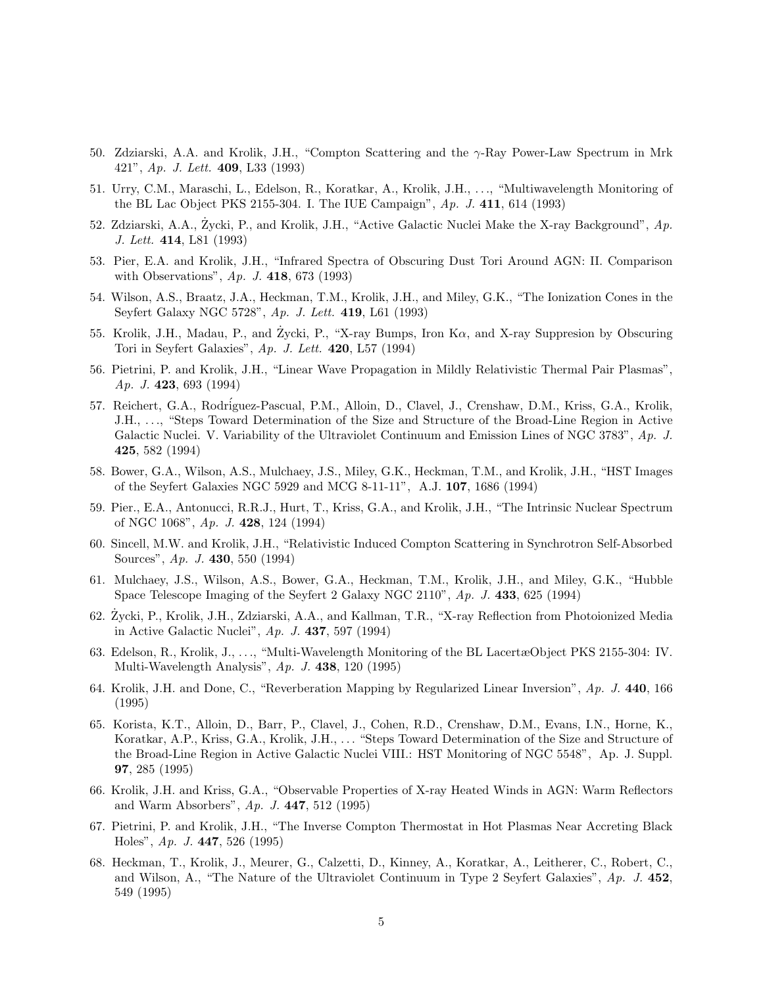- 50. Zdziarski, A.A. and Krolik, J.H., "Compton Scattering and the γ-Ray Power-Law Spectrum in Mrk 421", *Ap. J. Lett.* 409, L33 (1993)
- 51. Urry, C.M., Maraschi, L., Edelson, R., Koratkar, A., Krolik, J.H., . . ., "Multiwavelength Monitoring of the BL Lac Object PKS 2155-304. I. The IUE Campaign", *Ap. J.* 411, 614 (1993)
- 52. Zdziarski, A.A., Życki, P., and Krolik, J.H., "Active Galactic Nuclei Make the X-ray Background", Ap. *J. Lett.* 414, L81 (1993)
- 53. Pier, E.A. and Krolik, J.H., "Infrared Spectra of Obscuring Dust Tori Around AGN: II. Comparison with Observations", *Ap. J.* 418, 673 (1993)
- 54. Wilson, A.S., Braatz, J.A., Heckman, T.M., Krolik, J.H., and Miley, G.K., "The Ionization Cones in the Seyfert Galaxy NGC 5728", *Ap. J. Lett.* 419, L61 (1993)
- 55. Krolik, J.H., Madau, P., and Życki, P., "X-ray Bumps, Iron K $\alpha$ , and X-ray Suppresion by Obscuring Tori in Seyfert Galaxies", *Ap. J. Lett.* 420, L57 (1994)
- 56. Pietrini, P. and Krolik, J.H., "Linear Wave Propagation in Mildly Relativistic Thermal Pair Plasmas", *Ap. J.* 423, 693 (1994)
- 57. Reichert, G.A., Rodriguez-Pascual, P.M., Alloin, D., Clavel, J., Crenshaw, D.M., Kriss, G.A., Krolik, J.H., . . ., "Steps Toward Determination of the Size and Structure of the Broad-Line Region in Active Galactic Nuclei. V. Variability of the Ultraviolet Continuum and Emission Lines of NGC 3783", *Ap. J.* 425, 582 (1994)
- 58. Bower, G.A., Wilson, A.S., Mulchaey, J.S., Miley, G.K., Heckman, T.M., and Krolik, J.H., "HST Images of the Seyfert Galaxies NGC 5929 and MCG 8-11-11", A.J. 107, 1686 (1994)
- 59. Pier., E.A., Antonucci, R.R.J., Hurt, T., Kriss, G.A., and Krolik, J.H., "The Intrinsic Nuclear Spectrum of NGC 1068", *Ap. J.* 428, 124 (1994)
- 60. Sincell, M.W. and Krolik, J.H., "Relativistic Induced Compton Scattering in Synchrotron Self-Absorbed Sources", *Ap. J.* 430, 550 (1994)
- 61. Mulchaey, J.S., Wilson, A.S., Bower, G.A., Heckman, T.M., Krolik, J.H., and Miley, G.K., "Hubble Space Telescope Imaging of the Seyfert 2 Galaxy NGC 2110", *Ap. J.* 433, 625 (1994)
- 62. Życki, P., Krolik, J.H., Zdziarski, A.A., and Kallman, T.R., "X-ray Reflection from Photoionized Media in Active Galactic Nuclei", *Ap. J.* 437, 597 (1994)
- 63. Edelson, R., Krolik, J., . . ., "Multi-Wavelength Monitoring of the BL LacertæObject PKS 2155-304: IV. Multi-Wavelength Analysis", *Ap. J.* 438, 120 (1995)
- 64. Krolik, J.H. and Done, C., "Reverberation Mapping by Regularized Linear Inversion", *Ap. J.* 440, 166 (1995)
- 65. Korista, K.T., Alloin, D., Barr, P., Clavel, J., Cohen, R.D., Crenshaw, D.M., Evans, I.N., Horne, K., Koratkar, A.P., Kriss, G.A., Krolik, J.H., . . . "Steps Toward Determination of the Size and Structure of the Broad-Line Region in Active Galactic Nuclei VIII.: HST Monitoring of NGC 5548", Ap. J. Suppl. 97, 285 (1995)
- 66. Krolik, J.H. and Kriss, G.A., "Observable Properties of X-ray Heated Winds in AGN: Warm Reflectors and Warm Absorbers", *Ap. J.* 447, 512 (1995)
- 67. Pietrini, P. and Krolik, J.H., "The Inverse Compton Thermostat in Hot Plasmas Near Accreting Black Holes", *Ap. J.* 447, 526 (1995)
- 68. Heckman, T., Krolik, J., Meurer, G., Calzetti, D., Kinney, A., Koratkar, A., Leitherer, C., Robert, C., and Wilson, A., "The Nature of the Ultraviolet Continuum in Type 2 Seyfert Galaxies", *Ap. J.* 452, 549 (1995)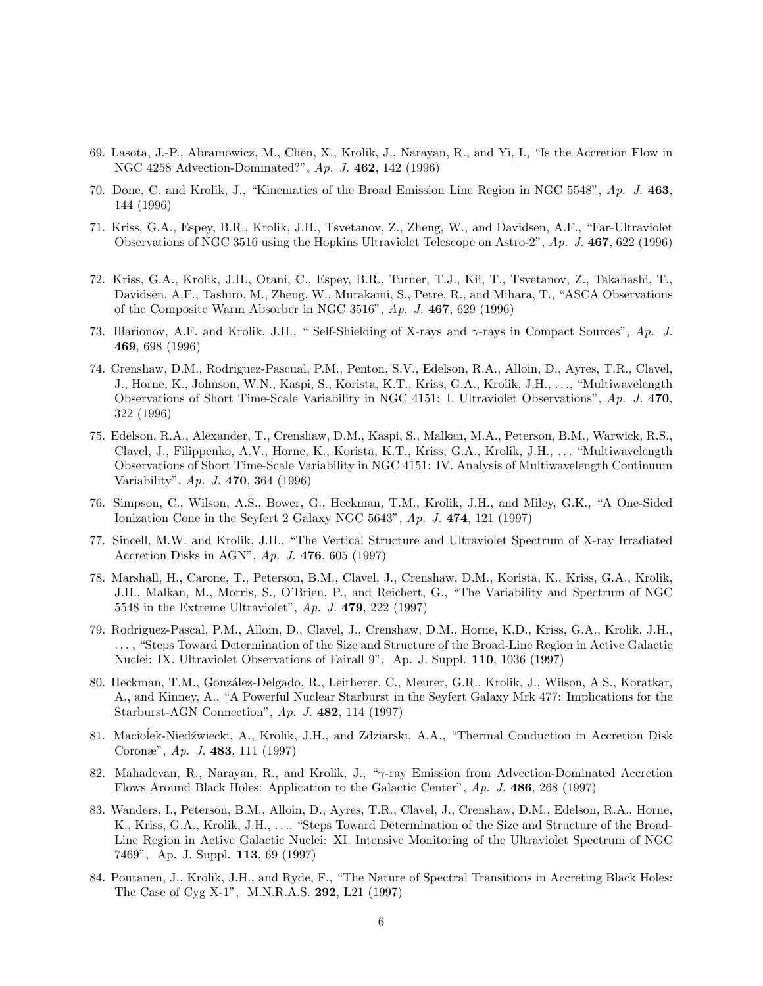- 69. Lasota, J.-P., Abramowicz, M., Chen, X., Krolik, J., Narayan, R., and Yi, I., "Is the Accretion Flow in NGC 4258 Advection-Dominated?", *Ap. J.* 462, 142 (1996)
- 70. Done, C. and Krolik, J., "Kinematics of the Broad Emission Line Region in NGC 5548", *Ap. J.* 463, 144 (1996)
- 71. Kriss, G.A., Espey, B.R., Krolik, J.H., Tsvetanov, Z., Zheng, W., and Davidsen, A.F., "Far-Ultraviolet Observations of NGC 3516 using the Hopkins Ultraviolet Telescope on Astro-2", *Ap. J.* 467, 622 (1996)
- 72. Kriss, G.A., Krolik, J.H., Otani, C., Espey, B.R., Turner, T.J., Kii, T., Tsvetanov, Z., Takahashi, T., Davidsen, A.F., Tashiro, M., Zheng, W., Murakami, S., Petre, R., and Mihara, T., "ASCA Observations of the Composite Warm Absorber in NGC 3516", *Ap. J.* 467, 629 (1996)
- 73. Illarionov, A.F. and Krolik, J.H., " Self-Shielding of X-rays and γ-rays in Compact Sources", *Ap. J.* 469, 698 (1996)
- 74. Crenshaw, D.M., Rodriguez-Pascual, P.M., Penton, S.V., Edelson, R.A., Alloin, D., Ayres, T.R., Clavel, J., Horne, K., Johnson, W.N., Kaspi, S., Korista, K.T., Kriss, G.A., Krolik, J.H., . . ., "Multiwavelength Observations of Short Time-Scale Variability in NGC 4151: I. Ultraviolet Observations", *Ap. J.* 470, 322 (1996)
- 75. Edelson, R.A., Alexander, T., Crenshaw, D.M., Kaspi, S., Malkan, M.A., Peterson, B.M., Warwick, R.S., Clavel, J., Filippenko, A.V., Horne, K., Korista, K.T., Kriss, G.A., Krolik, J.H., . . . "Multiwavelength Observations of Short Time-Scale Variability in NGC 4151: IV. Analysis of Multiwavelength Continuum Variability", *Ap. J.* 470, 364 (1996)
- 76. Simpson, C., Wilson, A.S., Bower, G., Heckman, T.M., Krolik, J.H., and Miley, G.K., "A One-Sided Ionization Cone in the Seyfert 2 Galaxy NGC 5643", *Ap. J.* 474, 121 (1997)
- 77. Sincell, M.W. and Krolik, J.H., "The Vertical Structure and Ultraviolet Spectrum of X-ray Irradiated Accretion Disks in AGN", *Ap. J.* 476, 605 (1997)
- 78. Marshall, H., Carone, T., Peterson, B.M., Clavel, J., Crenshaw, D.M., Korista, K., Kriss, G.A., Krolik, J.H., Malkan, M., Morris, S., O'Brien, P., and Reichert, G., "The Variability and Spectrum of NGC 5548 in the Extreme Ultraviolet", *Ap. J.* 479, 222 (1997)
- 79. Rodriguez-Pascal, P.M., Alloin, D., Clavel, J., Crenshaw, D.M., Horne, K.D., Kriss, G.A., Krolik, J.H., . . . , "Steps Toward Determination of the Size and Structure of the Broad-Line Region in Active Galactic Nuclei: IX. Ultraviolet Observations of Fairall 9", Ap. J. Suppl. 110, 1036 (1997)
- 80. Heckman, T.M., González-Delgado, R., Leitherer, C., Meurer, G.R., Krolik, J., Wilson, A.S., Koratkar, A., and Kinney, A., "A Powerful Nuclear Starburst in the Seyfert Galaxy Mrk 477: Implications for the Starburst-AGN Connection", *Ap. J.* 482, 114 (1997)
- 81. Maciolek-Niedźwiecki, A., Krolik, J.H., and Zdziarski, A.A., "Thermal Conduction in Accretion Disk Coronæ", *Ap. J.* 483, 111 (1997)
- 82. Mahadevan, R., Narayan, R., and Krolik, J., "γ-ray Emission from Advection-Dominated Accretion Flows Around Black Holes: Application to the Galactic Center", *Ap. J.* 486, 268 (1997)
- 83. Wanders, I., Peterson, B.M., Alloin, D., Ayres, T.R., Clavel, J., Crenshaw, D.M., Edelson, R.A., Horne, K., Kriss, G.A., Krolik, J.H., . . ., "Steps Toward Determination of the Size and Structure of the Broad-Line Region in Active Galactic Nuclei: XI. Intensive Monitoring of the Ultraviolet Spectrum of NGC 7469", Ap. J. Suppl. 113, 69 (1997)
- 84. Poutanen, J., Krolik, J.H., and Ryde, F., "The Nature of Spectral Transitions in Accreting Black Holes: The Case of Cyg X-1", M.N.R.A.S. 292, L21 (1997)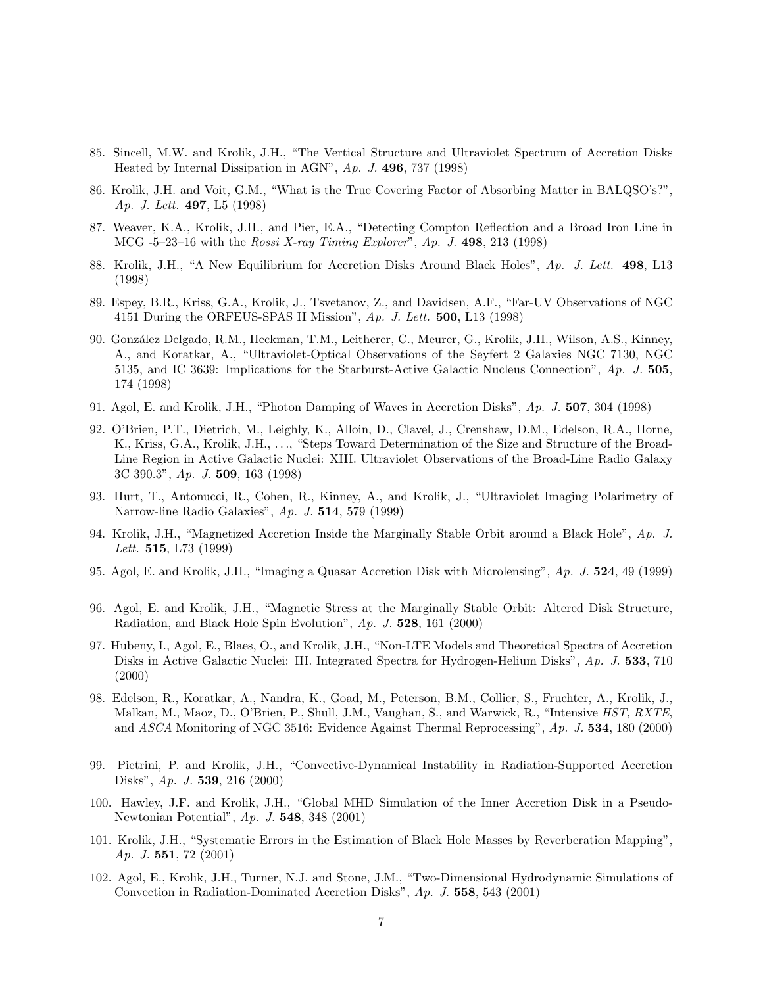- 85. Sincell, M.W. and Krolik, J.H., "The Vertical Structure and Ultraviolet Spectrum of Accretion Disks Heated by Internal Dissipation in AGN", *Ap. J.* 496, 737 (1998)
- 86. Krolik, J.H. and Voit, G.M., "What is the True Covering Factor of Absorbing Matter in BALQSO's?", *Ap. J. Lett.* 497, L5 (1998)
- 87. Weaver, K.A., Krolik, J.H., and Pier, E.A., "Detecting Compton Reflection and a Broad Iron Line in MCG -5–23–16 with the *Rossi X-ray Timing Explorer*", *Ap. J.* 498, 213 (1998)
- 88. Krolik, J.H., "A New Equilibrium for Accretion Disks Around Black Holes", *Ap. J. Lett.* 498, L13 (1998)
- 89. Espey, B.R., Kriss, G.A., Krolik, J., Tsvetanov, Z., and Davidsen, A.F., "Far-UV Observations of NGC 4151 During the ORFEUS-SPAS II Mission", *Ap. J. Lett.* 500, L13 (1998)
- 90. Gonz´alez Delgado, R.M., Heckman, T.M., Leitherer, C., Meurer, G., Krolik, J.H., Wilson, A.S., Kinney, A., and Koratkar, A., "Ultraviolet-Optical Observations of the Seyfert 2 Galaxies NGC 7130, NGC 5135, and IC 3639: Implications for the Starburst-Active Galactic Nucleus Connection", *Ap. J.* 505, 174 (1998)
- 91. Agol, E. and Krolik, J.H., "Photon Damping of Waves in Accretion Disks", *Ap. J.* 507, 304 (1998)
- 92. O'Brien, P.T., Dietrich, M., Leighly, K., Alloin, D., Clavel, J., Crenshaw, D.M., Edelson, R.A., Horne, K., Kriss, G.A., Krolik, J.H., . . ., "Steps Toward Determination of the Size and Structure of the Broad-Line Region in Active Galactic Nuclei: XIII. Ultraviolet Observations of the Broad-Line Radio Galaxy 3C 390.3", *Ap. J.* 509, 163 (1998)
- 93. Hurt, T., Antonucci, R., Cohen, R., Kinney, A., and Krolik, J., "Ultraviolet Imaging Polarimetry of Narrow-line Radio Galaxies", *Ap. J.* 514, 579 (1999)
- 94. Krolik, J.H., "Magnetized Accretion Inside the Marginally Stable Orbit around a Black Hole", *Ap. J. Lett.* 515, L73 (1999)
- 95. Agol, E. and Krolik, J.H., "Imaging a Quasar Accretion Disk with Microlensing", *Ap. J.* 524, 49 (1999)
- 96. Agol, E. and Krolik, J.H., "Magnetic Stress at the Marginally Stable Orbit: Altered Disk Structure, Radiation, and Black Hole Spin Evolution", *Ap. J.* 528, 161 (2000)
- 97. Hubeny, I., Agol, E., Blaes, O., and Krolik, J.H., "Non-LTE Models and Theoretical Spectra of Accretion Disks in Active Galactic Nuclei: III. Integrated Spectra for Hydrogen-Helium Disks", *Ap. J.* 533, 710 (2000)
- 98. Edelson, R., Koratkar, A., Nandra, K., Goad, M., Peterson, B.M., Collier, S., Fruchter, A., Krolik, J., Malkan, M., Maoz, D., O'Brien, P., Shull, J.M., Vaughan, S., and Warwick, R., "Intensive *HST*, *RXTE*, and *ASCA* Monitoring of NGC 3516: Evidence Against Thermal Reprocessing", *Ap. J.* 534, 180 (2000)
- 99. Pietrini, P. and Krolik, J.H., "Convective-Dynamical Instability in Radiation-Supported Accretion Disks", *Ap. J.* 539, 216 (2000)
- 100. Hawley, J.F. and Krolik, J.H., "Global MHD Simulation of the Inner Accretion Disk in a Pseudo-Newtonian Potential", *Ap. J.* 548, 348 (2001)
- 101. Krolik, J.H., "Systematic Errors in the Estimation of Black Hole Masses by Reverberation Mapping", *Ap. J.* 551, 72 (2001)
- 102. Agol, E., Krolik, J.H., Turner, N.J. and Stone, J.M., "Two-Dimensional Hydrodynamic Simulations of Convection in Radiation-Dominated Accretion Disks", *Ap. J.* 558, 543 (2001)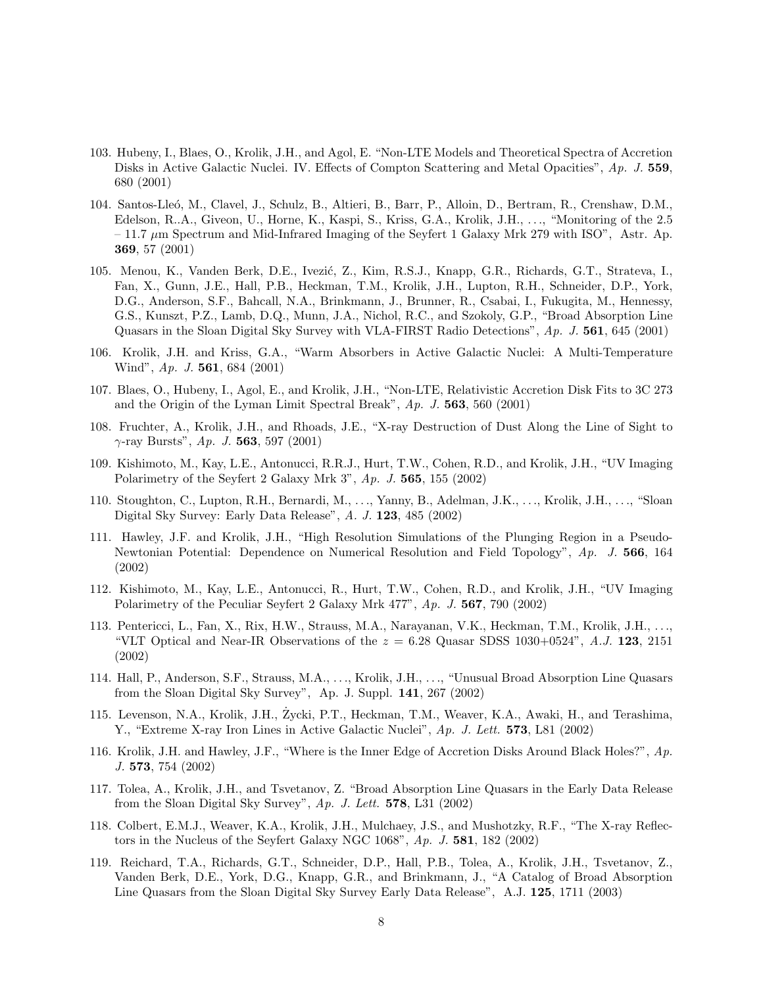- 103. Hubeny, I., Blaes, O., Krolik, J.H., and Agol, E. "Non-LTE Models and Theoretical Spectra of Accretion Disks in Active Galactic Nuclei. IV. Effects of Compton Scattering and Metal Opacities", *Ap. J.* 559, 680 (2001)
- 104. Santos-Lle´o, M., Clavel, J., Schulz, B., Altieri, B., Barr, P., Alloin, D., Bertram, R., Crenshaw, D.M., Edelson, R..A., Giveon, U., Horne, K., Kaspi, S., Kriss, G.A., Krolik, J.H., . . ., "Monitoring of the 2.5  $-11.7 \mu m$  Spectrum and Mid-Infrared Imaging of the Seyfert 1 Galaxy Mrk 279 with ISO", Astr. Ap. 369, 57 (2001)
- 105. Menou, K., Vanden Berk, D.E., Ivezić, Z., Kim, R.S.J., Knapp, G.R., Richards, G.T., Strateva, I., Fan, X., Gunn, J.E., Hall, P.B., Heckman, T.M., Krolik, J.H., Lupton, R.H., Schneider, D.P., York, D.G., Anderson, S.F., Bahcall, N.A., Brinkmann, J., Brunner, R., Csabai, I., Fukugita, M., Hennessy, G.S., Kunszt, P.Z., Lamb, D.Q., Munn, J.A., Nichol, R.C., and Szokoly, G.P., "Broad Absorption Line Quasars in the Sloan Digital Sky Survey with VLA-FIRST Radio Detections", *Ap. J.* 561, 645 (2001)
- 106. Krolik, J.H. and Kriss, G.A., "Warm Absorbers in Active Galactic Nuclei: A Multi-Temperature Wind", *Ap. J.* 561, 684 (2001)
- 107. Blaes, O., Hubeny, I., Agol, E., and Krolik, J.H., "Non-LTE, Relativistic Accretion Disk Fits to 3C 273 and the Origin of the Lyman Limit Spectral Break", *Ap. J.* 563, 560 (2001)
- 108. Fruchter, A., Krolik, J.H., and Rhoads, J.E., "X-ray Destruction of Dust Along the Line of Sight to γ-ray Bursts", *Ap. J.* 563, 597 (2001)
- 109. Kishimoto, M., Kay, L.E., Antonucci, R.R.J., Hurt, T.W., Cohen, R.D., and Krolik, J.H., "UV Imaging Polarimetry of the Seyfert 2 Galaxy Mrk 3", *Ap. J.* 565, 155 (2002)
- 110. Stoughton, C., Lupton, R.H., Bernardi, M., . . ., Yanny, B., Adelman, J.K., . . ., Krolik, J.H., . . ., "Sloan Digital Sky Survey: Early Data Release", *A. J.* 123, 485 (2002)
- 111. Hawley, J.F. and Krolik, J.H., "High Resolution Simulations of the Plunging Region in a Pseudo-Newtonian Potential: Dependence on Numerical Resolution and Field Topology", *Ap. J.* 566, 164 (2002)
- 112. Kishimoto, M., Kay, L.E., Antonucci, R., Hurt, T.W., Cohen, R.D., and Krolik, J.H., "UV Imaging Polarimetry of the Peculiar Seyfert 2 Galaxy Mrk 477", *Ap. J.* 567, 790 (2002)
- 113. Pentericci, L., Fan, X., Rix, H.W., Strauss, M.A., Narayanan, V.K., Heckman, T.M., Krolik, J.H., . . ., "VLT Optical and Near-IR Observations of the  $z = 6.28$  Quasar SDSS 1030+0524", A.J. 123, 2151 (2002)
- 114. Hall, P., Anderson, S.F., Strauss, M.A., . . ., Krolik, J.H., . . ., "Unusual Broad Absorption Line Quasars from the Sloan Digital Sky Survey", Ap. J. Suppl. 141, 267 (2002)
- 115. Levenson, N.A., Krolik, J.H., Zycki, P.T., Heckman, T.M., Weaver, K.A., Awaki, H., and Terashima. Y., "Extreme X-ray Iron Lines in Active Galactic Nuclei", *Ap. J. Lett.* 573, L81 (2002)
- 116. Krolik, J.H. and Hawley, J.F., "Where is the Inner Edge of Accretion Disks Around Black Holes?", *Ap. J.* 573, 754 (2002)
- 117. Tolea, A., Krolik, J.H., and Tsvetanov, Z. "Broad Absorption Line Quasars in the Early Data Release from the Sloan Digital Sky Survey", *Ap. J. Lett.* 578, L31 (2002)
- 118. Colbert, E.M.J., Weaver, K.A., Krolik, J.H., Mulchaey, J.S., and Mushotzky, R.F., "The X-ray Reflectors in the Nucleus of the Seyfert Galaxy NGC 1068", *Ap. J.* 581, 182 (2002)
- 119. Reichard, T.A., Richards, G.T., Schneider, D.P., Hall, P.B., Tolea, A., Krolik, J.H., Tsvetanov, Z., Vanden Berk, D.E., York, D.G., Knapp, G.R., and Brinkmann, J., "A Catalog of Broad Absorption Line Quasars from the Sloan Digital Sky Survey Early Data Release", A.J. 125, 1711 (2003)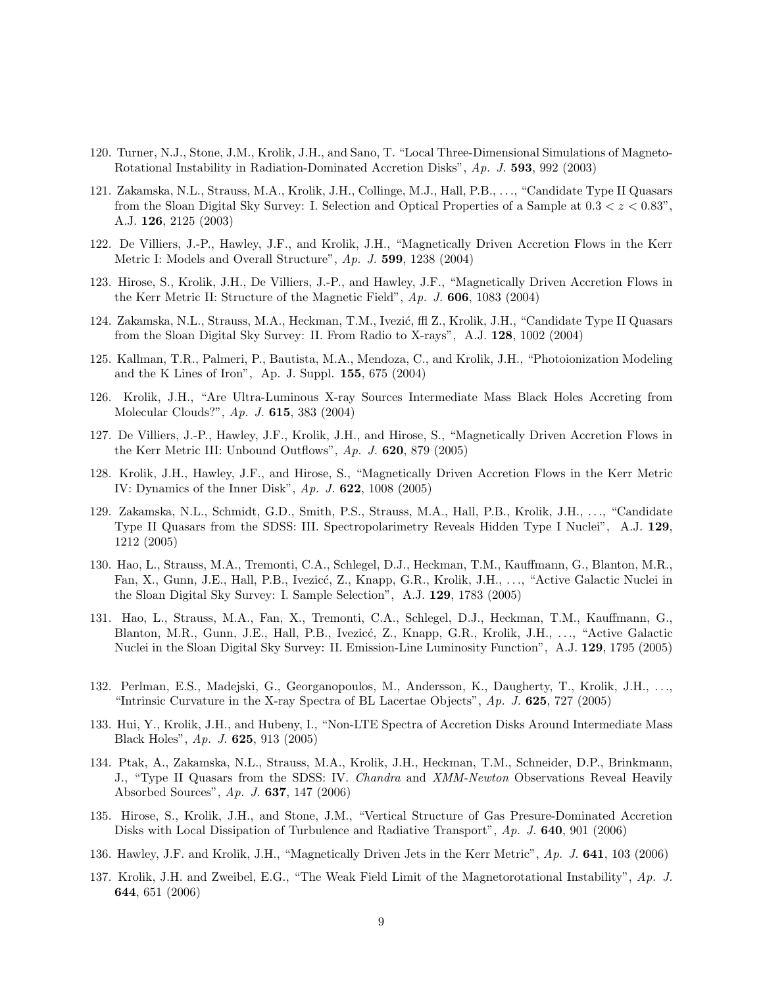- 120. Turner, N.J., Stone, J.M., Krolik, J.H., and Sano, T. "Local Three-Dimensional Simulations of Magneto-Rotational Instability in Radiation-Dominated Accretion Disks", *Ap. J.* 593, 992 (2003)
- 121. Zakamska, N.L., Strauss, M.A., Krolik, J.H., Collinge, M.J., Hall, P.B., . . ., "Candidate Type II Quasars from the Sloan Digital Sky Survey: I. Selection and Optical Properties of a Sample at  $0.3 < z < 0.83$ ". A.J. 126, 2125 (2003)
- 122. De Villiers, J.-P., Hawley, J.F., and Krolik, J.H., "Magnetically Driven Accretion Flows in the Kerr Metric I: Models and Overall Structure", *Ap. J.* 599, 1238 (2004)
- 123. Hirose, S., Krolik, J.H., De Villiers, J.-P., and Hawley, J.F., "Magnetically Driven Accretion Flows in the Kerr Metric II: Structure of the Magnetic Field", *Ap. J.* 606, 1083 (2004)
- 124. Zakamska, N.L., Strauss, M.A., Heckman, T.M., Ivezić, ffl Z., Krolik, J.H., "Candidate Type II Quasars from the Sloan Digital Sky Survey: II. From Radio to X-rays", A.J. 128, 1002 (2004)
- 125. Kallman, T.R., Palmeri, P., Bautista, M.A., Mendoza, C., and Krolik, J.H., "Photoionization Modeling and the K Lines of Iron", Ap. J. Suppl. 155, 675 (2004)
- 126. Krolik, J.H., "Are Ultra-Luminous X-ray Sources Intermediate Mass Black Holes Accreting from Molecular Clouds?", *Ap. J.* 615, 383 (2004)
- 127. De Villiers, J.-P., Hawley, J.F., Krolik, J.H., and Hirose, S., "Magnetically Driven Accretion Flows in the Kerr Metric III: Unbound Outflows", *Ap. J.* 620, 879 (2005)
- 128. Krolik, J.H., Hawley, J.F., and Hirose, S., "Magnetically Driven Accretion Flows in the Kerr Metric IV: Dynamics of the Inner Disk", *Ap. J.* 622, 1008 (2005)
- 129. Zakamska, N.L., Schmidt, G.D., Smith, P.S., Strauss, M.A., Hall, P.B., Krolik, J.H., . . ., "Candidate Type II Quasars from the SDSS: III. Spectropolarimetry Reveals Hidden Type I Nuclei", A.J. 129, 1212 (2005)
- 130. Hao, L., Strauss, M.A., Tremonti, C.A., Schlegel, D.J., Heckman, T.M., Kauffmann, G., Blanton, M.R., Fan, X., Gunn, J.E., Hall, P.B., Ivezicć, Z., Knapp, G.R., Krolik, J.H., ..., "Active Galactic Nuclei in the Sloan Digital Sky Survey: I. Sample Selection", A.J. 129, 1783 (2005)
- 131. Hao, L., Strauss, M.A., Fan, X., Tremonti, C.A., Schlegel, D.J., Heckman, T.M., Kauffmann, G., Blanton, M.R., Gunn, J.E., Hall, P.B., Ivezicć, Z., Knapp, G.R., Krolik, J.H., ..., "Active Galactic Nuclei in the Sloan Digital Sky Survey: II. Emission-Line Luminosity Function", A.J. 129, 1795 (2005)
- 132. Perlman, E.S., Madejski, G., Georganopoulos, M., Andersson, K., Daugherty, T., Krolik, J.H., . . ., "Intrinsic Curvature in the X-ray Spectra of BL Lacertae Objects", *Ap. J.* 625, 727 (2005)
- 133. Hui, Y., Krolik, J.H., and Hubeny, I., "Non-LTE Spectra of Accretion Disks Around Intermediate Mass Black Holes", *Ap. J.* 625, 913 (2005)
- 134. Ptak, A., Zakamska, N.L., Strauss, M.A., Krolik, J.H., Heckman, T.M., Schneider, D.P., Brinkmann, J., "Type II Quasars from the SDSS: IV. *Chandra* and *XMM-Newton* Observations Reveal Heavily Absorbed Sources", *Ap. J.* 637, 147 (2006)
- 135. Hirose, S., Krolik, J.H., and Stone, J.M., "Vertical Structure of Gas Presure-Dominated Accretion Disks with Local Dissipation of Turbulence and Radiative Transport", *Ap. J.* 640, 901 (2006)
- 136. Hawley, J.F. and Krolik, J.H., "Magnetically Driven Jets in the Kerr Metric", *Ap. J.* 641, 103 (2006)
- 137. Krolik, J.H. and Zweibel, E.G., "The Weak Field Limit of the Magnetorotational Instability", *Ap. J.* 644, 651 (2006)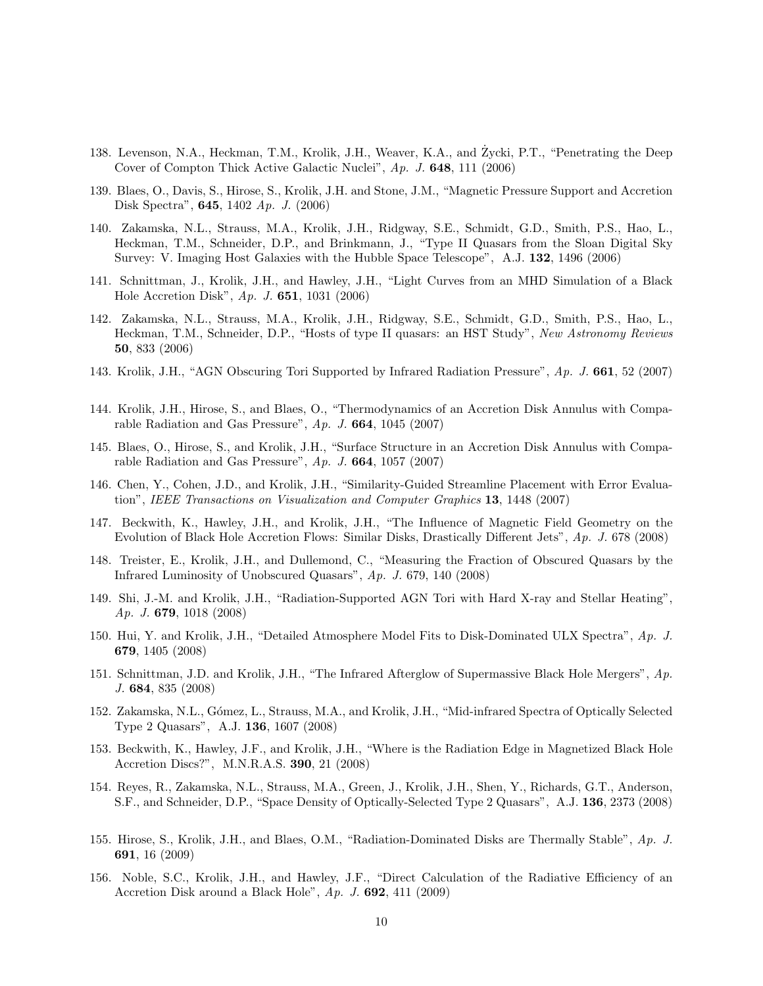- 138. Levenson, N.A., Heckman, T.M., Krolik, J.H., Weaver, K.A., and Zycki, P.T., "Penetrating the Deep Cover of Compton Thick Active Galactic Nuclei", *Ap. J.* 648, 111 (2006)
- 139. Blaes, O., Davis, S., Hirose, S., Krolik, J.H. and Stone, J.M., "Magnetic Pressure Support and Accretion Disk Spectra", 645, 1402 *Ap. J.* (2006)
- 140. Zakamska, N.L., Strauss, M.A., Krolik, J.H., Ridgway, S.E., Schmidt, G.D., Smith, P.S., Hao, L., Heckman, T.M., Schneider, D.P., and Brinkmann, J., "Type II Quasars from the Sloan Digital Sky Survey: V. Imaging Host Galaxies with the Hubble Space Telescope", A.J. 132, 1496 (2006)
- 141. Schnittman, J., Krolik, J.H., and Hawley, J.H., "Light Curves from an MHD Simulation of a Black Hole Accretion Disk", *Ap. J.* 651, 1031 (2006)
- 142. Zakamska, N.L., Strauss, M.A., Krolik, J.H., Ridgway, S.E., Schmidt, G.D., Smith, P.S., Hao, L., Heckman, T.M., Schneider, D.P., "Hosts of type II quasars: an HST Study", *New Astronomy Reviews* 50, 833 (2006)
- 143. Krolik, J.H., "AGN Obscuring Tori Supported by Infrared Radiation Pressure", *Ap. J.* 661, 52 (2007)
- 144. Krolik, J.H., Hirose, S., and Blaes, O., "Thermodynamics of an Accretion Disk Annulus with Comparable Radiation and Gas Pressure", *Ap. J.* 664, 1045 (2007)
- 145. Blaes, O., Hirose, S., and Krolik, J.H., "Surface Structure in an Accretion Disk Annulus with Comparable Radiation and Gas Pressure", *Ap. J.* 664, 1057 (2007)
- 146. Chen, Y., Cohen, J.D., and Krolik, J.H., "Similarity-Guided Streamline Placement with Error Evaluation", *IEEE Transactions on Visualization and Computer Graphics* 13, 1448 (2007)
- 147. Beckwith, K., Hawley, J.H., and Krolik, J.H., "The Influence of Magnetic Field Geometry on the Evolution of Black Hole Accretion Flows: Similar Disks, Drastically Different Jets", *Ap. J.* 678 (2008)
- 148. Treister, E., Krolik, J.H., and Dullemond, C., "Measuring the Fraction of Obscured Quasars by the Infrared Luminosity of Unobscured Quasars", *Ap. J.* 679, 140 (2008)
- 149. Shi, J.-M. and Krolik, J.H., "Radiation-Supported AGN Tori with Hard X-ray and Stellar Heating", *Ap. J.* 679, 1018 (2008)
- 150. Hui, Y. and Krolik, J.H., "Detailed Atmosphere Model Fits to Disk-Dominated ULX Spectra", *Ap. J.* 679, 1405 (2008)
- 151. Schnittman, J.D. and Krolik, J.H., "The Infrared Afterglow of Supermassive Black Hole Mergers", *Ap. J.* 684, 835 (2008)
- 152. Zakamska, N.L., Gómez, L., Strauss, M.A., and Krolik, J.H., "Mid-infrared Spectra of Optically Selected Type 2 Quasars", A.J. 136, 1607 (2008)
- 153. Beckwith, K., Hawley, J.F., and Krolik, J.H., "Where is the Radiation Edge in Magnetized Black Hole Accretion Discs?", M.N.R.A.S. 390, 21 (2008)
- 154. Reyes, R., Zakamska, N.L., Strauss, M.A., Green, J., Krolik, J.H., Shen, Y., Richards, G.T., Anderson, S.F., and Schneider, D.P., "Space Density of Optically-Selected Type 2 Quasars", A.J. 136, 2373 (2008)
- 155. Hirose, S., Krolik, J.H., and Blaes, O.M., "Radiation-Dominated Disks are Thermally Stable", *Ap. J.* 691, 16 (2009)
- 156. Noble, S.C., Krolik, J.H., and Hawley, J.F., "Direct Calculation of the Radiative Efficiency of an Accretion Disk around a Black Hole", *Ap. J.* 692, 411 (2009)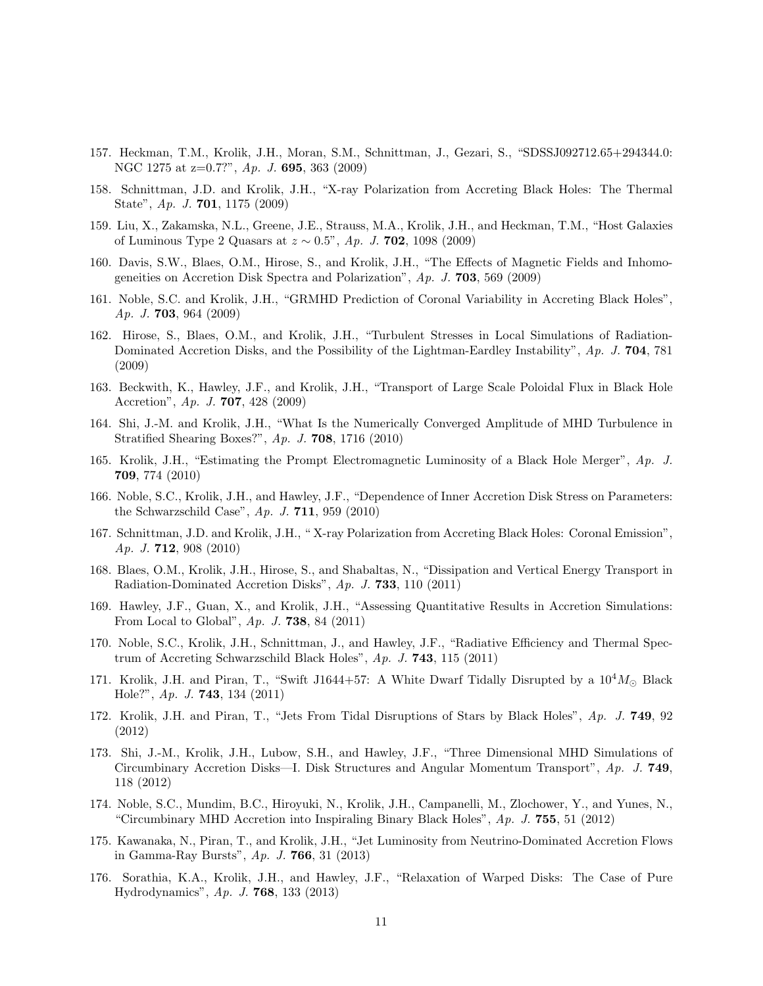- 157. Heckman, T.M., Krolik, J.H., Moran, S.M., Schnittman, J., Gezari, S., "SDSSJ092712.65+294344.0: NGC 1275 at z=0.7?", *Ap. J.* 695, 363 (2009)
- 158. Schnittman, J.D. and Krolik, J.H., "X-ray Polarization from Accreting Black Holes: The Thermal State", *Ap. J.* 701, 1175 (2009)
- 159. Liu, X., Zakamska, N.L., Greene, J.E., Strauss, M.A., Krolik, J.H., and Heckman, T.M., "Host Galaxies of Luminous Type 2 Quasars at z ∼ 0.5", *Ap. J.* 702, 1098 (2009)
- 160. Davis, S.W., Blaes, O.M., Hirose, S., and Krolik, J.H., "The Effects of Magnetic Fields and Inhomogeneities on Accretion Disk Spectra and Polarization", *Ap. J.* 703, 569 (2009)
- 161. Noble, S.C. and Krolik, J.H., "GRMHD Prediction of Coronal Variability in Accreting Black Holes", *Ap. J.* 703, 964 (2009)
- 162. Hirose, S., Blaes, O.M., and Krolik, J.H., "Turbulent Stresses in Local Simulations of Radiation-Dominated Accretion Disks, and the Possibility of the Lightman-Eardley Instability", *Ap. J.* 704, 781 (2009)
- 163. Beckwith, K., Hawley, J.F., and Krolik, J.H., "Transport of Large Scale Poloidal Flux in Black Hole Accretion", *Ap. J.* 707, 428 (2009)
- 164. Shi, J.-M. and Krolik, J.H., "What Is the Numerically Converged Amplitude of MHD Turbulence in Stratified Shearing Boxes?", *Ap. J.* 708, 1716 (2010)
- 165. Krolik, J.H., "Estimating the Prompt Electromagnetic Luminosity of a Black Hole Merger", *Ap. J.* 709, 774 (2010)
- 166. Noble, S.C., Krolik, J.H., and Hawley, J.F., "Dependence of Inner Accretion Disk Stress on Parameters: the Schwarzschild Case", *Ap. J.* 711, 959 (2010)
- 167. Schnittman, J.D. and Krolik, J.H., " X-ray Polarization from Accreting Black Holes: Coronal Emission", *Ap. J.* 712, 908 (2010)
- 168. Blaes, O.M., Krolik, J.H., Hirose, S., and Shabaltas, N., "Dissipation and Vertical Energy Transport in Radiation-Dominated Accretion Disks", *Ap. J.* 733, 110 (2011)
- 169. Hawley, J.F., Guan, X., and Krolik, J.H., "Assessing Quantitative Results in Accretion Simulations: From Local to Global", *Ap. J.* 738, 84 (2011)
- 170. Noble, S.C., Krolik, J.H., Schnittman, J., and Hawley, J.F., "Radiative Efficiency and Thermal Spectrum of Accreting Schwarzschild Black Holes", *Ap. J.* 743, 115 (2011)
- 171. Krolik, J.H. and Piran, T., "Swift J1644+57: A White Dwarf Tidally Disrupted by a  $10^4 M_{\odot}$  Black Hole?", *Ap. J.* 743, 134 (2011)
- 172. Krolik, J.H. and Piran, T., "Jets From Tidal Disruptions of Stars by Black Holes", *Ap. J.* 749, 92 (2012)
- 173. Shi, J.-M., Krolik, J.H., Lubow, S.H., and Hawley, J.F., "Three Dimensional MHD Simulations of Circumbinary Accretion Disks—I. Disk Structures and Angular Momentum Transport", *Ap. J.* 749, 118 (2012)
- 174. Noble, S.C., Mundim, B.C., Hiroyuki, N., Krolik, J.H., Campanelli, M., Zlochower, Y., and Yunes, N., "Circumbinary MHD Accretion into Inspiraling Binary Black Holes", *Ap. J.* 755, 51 (2012)
- 175. Kawanaka, N., Piran, T., and Krolik, J.H., "Jet Luminosity from Neutrino-Dominated Accretion Flows in Gamma-Ray Bursts", *Ap. J.* 766, 31 (2013)
- 176. Sorathia, K.A., Krolik, J.H., and Hawley, J.F., "Relaxation of Warped Disks: The Case of Pure Hydrodynamics", *Ap. J.* 768, 133 (2013)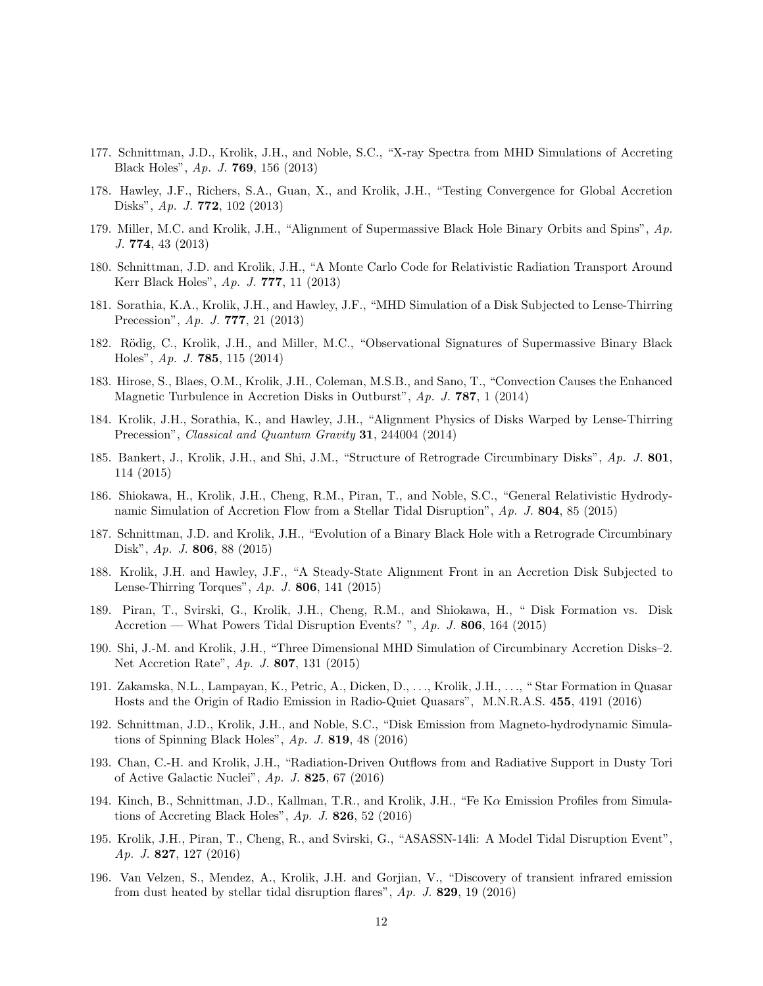- 177. Schnittman, J.D., Krolik, J.H., and Noble, S.C., "X-ray Spectra from MHD Simulations of Accreting Black Holes", *Ap. J.* 769, 156 (2013)
- 178. Hawley, J.F., Richers, S.A., Guan, X., and Krolik, J.H., "Testing Convergence for Global Accretion Disks", *Ap. J.* 772, 102 (2013)
- 179. Miller, M.C. and Krolik, J.H., "Alignment of Supermassive Black Hole Binary Orbits and Spins", *Ap. J.* 774, 43 (2013)
- 180. Schnittman, J.D. and Krolik, J.H., "A Monte Carlo Code for Relativistic Radiation Transport Around Kerr Black Holes", *Ap. J.* 777, 11 (2013)
- 181. Sorathia, K.A., Krolik, J.H., and Hawley, J.F., "MHD Simulation of a Disk Subjected to Lense-Thirring Precession", *Ap. J.* 777, 21 (2013)
- 182. Rödig, C., Krolik, J.H., and Miller, M.C., "Observational Signatures of Supermassive Binary Black Holes", *Ap. J.* 785, 115 (2014)
- 183. Hirose, S., Blaes, O.M., Krolik, J.H., Coleman, M.S.B., and Sano, T., "Convection Causes the Enhanced Magnetic Turbulence in Accretion Disks in Outburst", *Ap. J.* 787, 1 (2014)
- 184. Krolik, J.H., Sorathia, K., and Hawley, J.H., "Alignment Physics of Disks Warped by Lense-Thirring Precession", *Classical and Quantum Gravity* 31, 244004 (2014)
- 185. Bankert, J., Krolik, J.H., and Shi, J.M., "Structure of Retrograde Circumbinary Disks", *Ap. J.* 801, 114 (2015)
- 186. Shiokawa, H., Krolik, J.H., Cheng, R.M., Piran, T., and Noble, S.C., "General Relativistic Hydrodynamic Simulation of Accretion Flow from a Stellar Tidal Disruption", *Ap. J.* 804, 85 (2015)
- 187. Schnittman, J.D. and Krolik, J.H., "Evolution of a Binary Black Hole with a Retrograde Circumbinary Disk", *Ap. J.* 806, 88 (2015)
- 188. Krolik, J.H. and Hawley, J.F., "A Steady-State Alignment Front in an Accretion Disk Subjected to Lense-Thirring Torques", *Ap. J.* 806, 141 (2015)
- 189. Piran, T., Svirski, G., Krolik, J.H., Cheng, R.M., and Shiokawa, H., " Disk Formation vs. Disk Accretion — What Powers Tidal Disruption Events? ", *Ap. J.* 806, 164 (2015)
- 190. Shi, J.-M. and Krolik, J.H., "Three Dimensional MHD Simulation of Circumbinary Accretion Disks–2. Net Accretion Rate", *Ap. J.* 807, 131 (2015)
- 191. Zakamska, N.L., Lampayan, K., Petric, A., Dicken, D., . . ., Krolik, J.H., . . ., " Star Formation in Quasar Hosts and the Origin of Radio Emission in Radio-Quiet Quasars", M.N.R.A.S. 455, 4191 (2016)
- 192. Schnittman, J.D., Krolik, J.H., and Noble, S.C., "Disk Emission from Magneto-hydrodynamic Simulations of Spinning Black Holes", *Ap. J.* 819, 48 (2016)
- 193. Chan, C.-H. and Krolik, J.H., "Radiation-Driven Outflows from and Radiative Support in Dusty Tori of Active Galactic Nuclei", *Ap. J.* 825, 67 (2016)
- 194. Kinch, B., Schnittman, J.D., Kallman, T.R., and Krolik, J.H., "Fe Kα Emission Profiles from Simulations of Accreting Black Holes", *Ap. J.* 826, 52 (2016)
- 195. Krolik, J.H., Piran, T., Cheng, R., and Svirski, G., "ASASSN-14li: A Model Tidal Disruption Event", *Ap. J.* 827, 127 (2016)
- 196. Van Velzen, S., Mendez, A., Krolik, J.H. and Gorjian, V., "Discovery of transient infrared emission from dust heated by stellar tidal disruption flares", *Ap. J.* 829, 19 (2016)